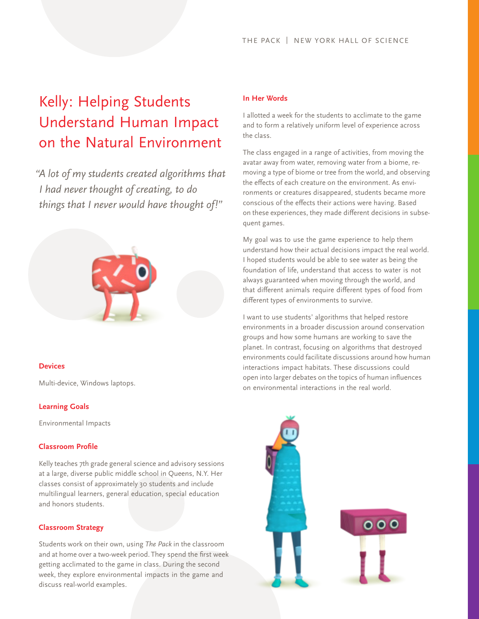# Kelly: Helping Students Understand Human Impact on the Natural Environment

*"A lot of my students created algorithms that I had never thought of creating, to do things that I never would have thought of!"*



### **Devices**

Multi-device, Windows laptops.

## **Learning Goals**

Environmental Impacts

## **Classroom Profile**

Kelly teaches 7th grade general science and advisory sessions at a large, diverse public middle school in Queens, N.Y. Her classes consist of approximately 30 students and include multilingual learners, general education, special education and honors students.

### **Classroom Strategy**

Students work on their own, using *The Pack* in the classroom and at home over a two-week period. They spend the first week getting acclimated to the game in class. During the second week, they explore environmental impacts in the game and discuss real-world examples.

### **In Her Words**

I allotted a week for the students to acclimate to the game and to form a relatively uniform level of experience across the class.

The class engaged in a range of activities, from moving the avatar away from water, removing water from a biome, removing a type of biome or tree from the world, and observing the effects of each creature on the environment. As environments or creatures disappeared, students became more conscious of the effects their actions were having. Based on these experiences, they made different decisions in subsequent games.

My goal was to use the game experience to help them understand how their actual decisions impact the real world. I hoped students would be able to see water as being the foundation of life, understand that access to water is not always guaranteed when moving through the world, and that different animals require different types of food from different types of environments to survive.

I want to use students' algorithms that helped restore environments in a broader discussion around conservation groups and how some humans are working to save the planet. In contrast, focusing on algorithms that destroyed environments could facilitate discussions around how human interactions impact habitats. These discussions could open into larger debates on the topics of human influences on environmental interactions in the real world.

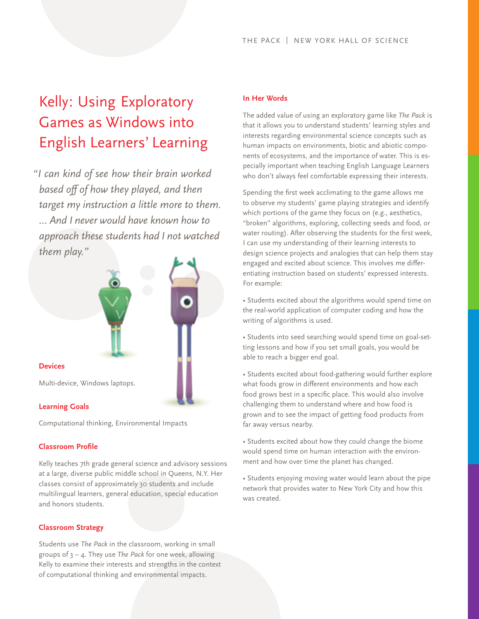# Kelly: Using Exploratory Games as Windows into English Learners' Learning

*"I can kind of see how their brain worked based off of how they played, and then target my instruction a little more to them. … And I never would have known how to approach these students had I not watched them play."*



Computational thinking, Environmental Impacts

## **Classroom Profile**

Kelly teaches 7th grade general science and advisory sessions at a large, diverse public middle school in Queens, N.Y. Her classes consist of approximately 30 students and include multilingual learners, general education, special education and honors students.

### **Classroom Strategy**

Students use *The Pack* in the classroom, working in small groups of 3 – 4. They use *The Pack* for one week, allowing Kelly to examine their interests and strengths in the context of computational thinking and environmental impacts.

# **In Her Words**

The added value of using an exploratory game like *The Pack* is that it allows you to understand students' learning styles and interests regarding environmental science concepts such as human impacts on environments, biotic and abiotic components of ecosystems, and the importance of water. This is especially important when teaching English Language Learners who don't always feel comfortable expressing their interests.

Spending the first week acclimating to the game allows me to observe my students' game playing strategies and identify which portions of the game they focus on (e.g., aesthetics, "broken" algorithms, exploring, collecting seeds and food, or water routing). After observing the students for the first week, I can use my understanding of their learning interests to design science projects and analogies that can help them stay engaged and excited about science. This involves me differentiating instruction based on students' expressed interests. For example:

• Students excited about the algorithms would spend time on the real-world application of computer coding and how the writing of algorithms is used.

• Students into seed searching would spend time on goal-setting lessons and how if you set small goals, you would be able to reach a bigger end goal.

• Students excited about food-gathering would further explore what foods grow in different environments and how each food grows best in a specific place. This would also involve challenging them to understand where and how food is grown and to see the impact of getting food products from far away versus nearby.

• Students excited about how they could change the biome would spend time on human interaction with the environment and how over time the planet has changed.

• Students enjoying moving water would learn about the pipe network that provides water to New York City and how this was created.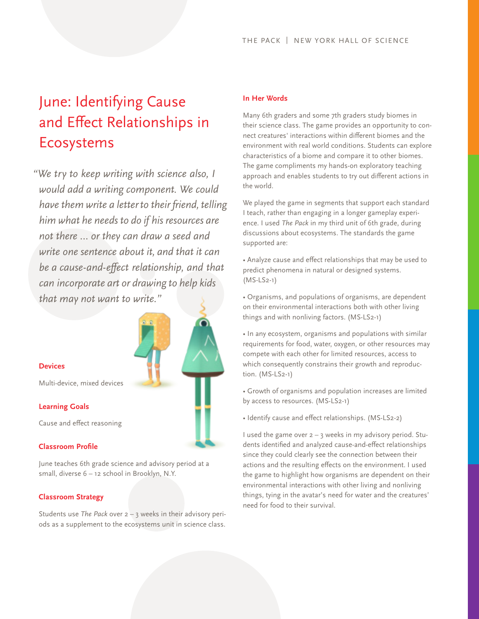# June: Identifying Cause and Effect Relationships in Ecosystems

*"We try to keep writing with science also, I would add a writing component. We could have them write a letter to their friend, telling him what he needs to do if his resources are not there … or they can draw a seed and write one sentence about it, and that it can be a cause-and-effect relationship, and that can incorporate art or drawing to help kids that may not want to write."*



# **Devices**

Multi-device, mixed devices

#### **Learning Goals**

Cause and effect reasoning

## **Classroom Profile**

June teaches 6th grade science and advisory period at a small, diverse 6 – 12 school in Brooklyn, N.Y.

#### **Classroom Strategy**

Students use *The Pack* over 2 – 3 weeks in their advisory periods as a supplement to the ecosystems unit in science class.

### **In Her Words**

Many 6th graders and some 7th graders study biomes in their science class. The game provides an opportunity to connect creatures' interactions within different biomes and the environment with real world conditions. Students can explore characteristics of a biome and compare it to other biomes. The game compliments my hands-on exploratory teaching approach and enables students to try out different actions in the world.

We played the game in segments that support each standard I teach, rather than engaging in a longer gameplay experience. I used *The Pack* in my third unit of 6th grade, during discussions about ecosystems. The standards the game supported are:

• Analyze cause and effect relationships that may be used to predict phenomena in natural or designed systems. (MS-LS2-1)

• Organisms, and populations of organisms, are dependent on their environmental interactions both with other living things and with nonliving factors. (MS-LS2-1)

• In any ecosystem, organisms and populations with similar requirements for food, water, oxygen, or other resources may compete with each other for limited resources, access to which consequently constrains their growth and reproduction. (MS-LS2-1)

• Growth of organisms and population increases are limited by access to resources. (MS-LS2-1)

• Identify cause and effect relationships. (MS-LS2-2)

I used the game over 2 – 3 weeks in my advisory period. Students identified and analyzed cause-and-effect relationships since they could clearly see the connection between their actions and the resulting effects on the environment. I used the game to highlight how organisms are dependent on their environmental interactions with other living and nonliving things, tying in the avatar's need for water and the creatures' need for food to their survival.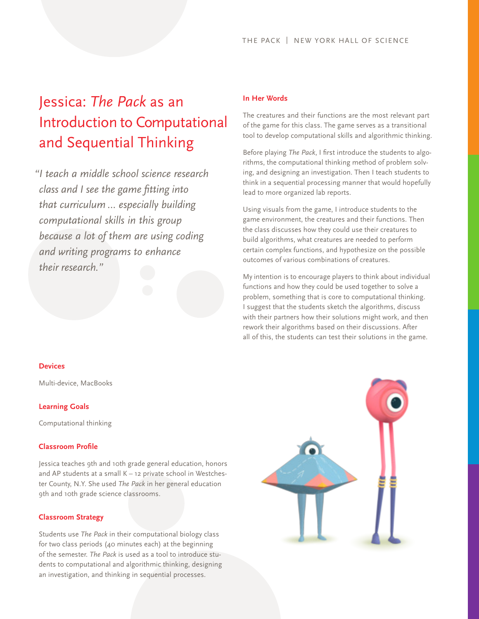# Jessica: *The Pack* as an Introduction to Computational and Sequential Thinking

 *"I teach a middle school science research class and I see the game fitting into that curriculum … especially building computational skills in this group because a lot of them are using coding and writing programs to enhance their research."*

### **Devices**

Multi-device, MacBooks

#### **Learning Goals**

Computational thinking

## **Classroom Profile**

Jessica teaches 9th and 10th grade general education, honors and AP students at a small K – 12 private school in Westchester County, N.Y. She used *The Pack* in her general education 9th and 10th grade science classrooms.

#### **Classroom Strategy**

Students use *The Pack* in their computational biology class for two class periods (40 minutes each) at the beginning of the semester. *The Pack* is used as a tool to introduce students to computational and algorithmic thinking, designing an investigation, and thinking in sequential processes.

#### **In Her Words**

The creatures and their functions are the most relevant part of the game for this class. The game serves as a transitional tool to develop computational skills and algorithmic thinking.

Before playing *The Pack*, I first introduce the students to algorithms, the computational thinking method of problem solving, and designing an investigation. Then I teach students to think in a sequential processing manner that would hopefully lead to more organized lab reports.

Using visuals from the game, I introduce students to the game environment, the creatures and their functions. Then the class discusses how they could use their creatures to build algorithms, what creatures are needed to perform certain complex functions, and hypothesize on the possible outcomes of various combinations of creatures.

My intention is to encourage players to think about individual functions and how they could be used together to solve a problem, something that is core to computational thinking. I suggest that the students sketch the algorithms, discuss with their partners how their solutions might work, and then rework their algorithms based on their discussions. After all of this, the students can test their solutions in the game.